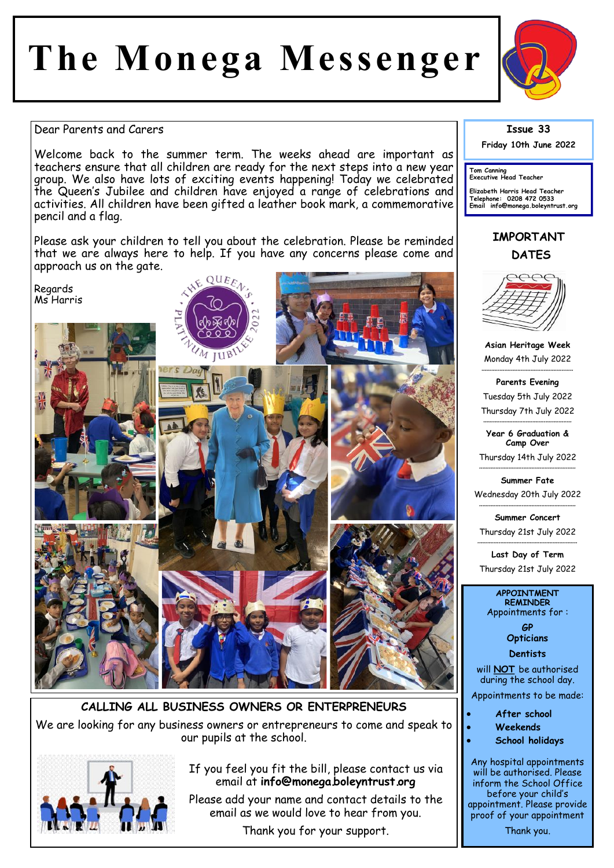# The Monega Messenger



### Dear Parents and Carers

Welcome back to the summer term. The weeks ahead are important as teachers ensure that all children are ready for the next steps into a new year group. We also have lots of exciting events happening! Today we celebrated the Queen's Jubilee and children have enjoyed a range of celebrations and activities. All children have been gifted a leather book mark, a commemorative pencil and a flag.

Please ask your children to tell you about the celebration. Please be reminded that we are always here to help. If you have any concerns please come and approach us on the gate.



CALLING ALL BUSINESS OWNERS OR ENTERPRENEURS We are looking for any business owners or entrepreneurs to come and speak to our pupils at the school.



## If you feel you fit the bill, please contact us via email at info@monega.boleyntrust.org

Please add your name and contact details to the email as we would love to hear from you.

Thank you for your support.

# **Issue 33**

Friday 10th June 2022

Tom Canning<br>Executive Head Teacher

Elizabeth Harris Head Teacher<br>Telephone: 0208 472 0533<br>Email info@monega.boleyntrust.org

# **IMPORTANT DATES**



Asian Heritage Week Monday 4th July 2022

**Parents Evening** Tuesday 5th July 2022 Thursday 7th July 2022

Year 6 Graduation & Camp Over

Thursday 14th July 2022

Summer Fate Wednesday 20th July 2022

Summer Concert Thursday 21st July 2022

Last Day of Term Thursday 21st July 2022

#### **APPOINTMENT REMINDER** Appointments for:

**GP Opticians** 

**Dentists** 

will **NOT** be authorised during the school day.

Appointments to be made:

#### After school

- Weekends
- **School holidays**

Any hospital appointments will be authorised. Please inform the School Office before your child's appointment. Please provide proof of your appointment Thank you.